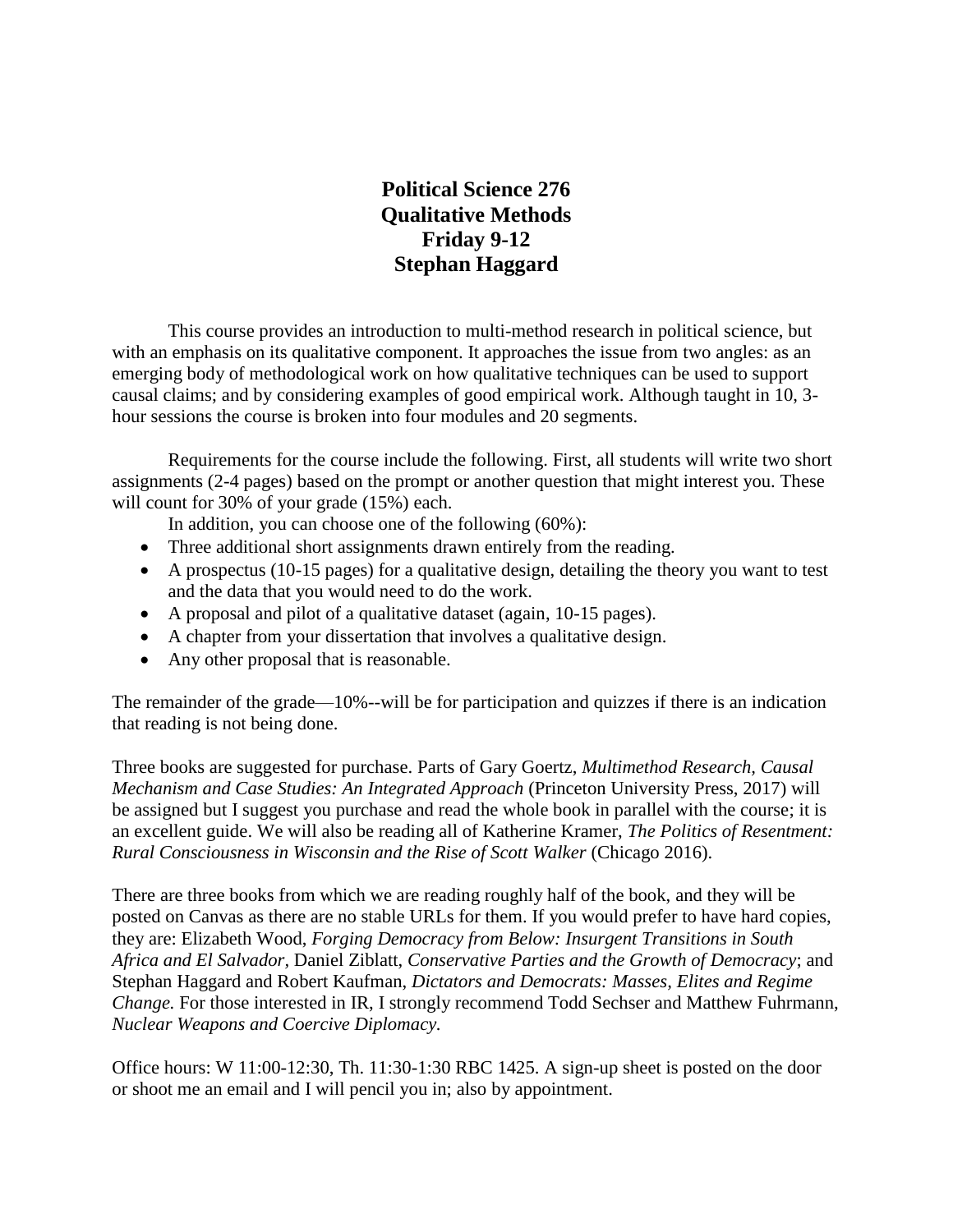# **Political Science 276 Qualitative Methods Friday 9-12 Stephan Haggard**

This course provides an introduction to multi-method research in political science, but with an emphasis on its qualitative component. It approaches the issue from two angles: as an emerging body of methodological work on how qualitative techniques can be used to support causal claims; and by considering examples of good empirical work. Although taught in 10, 3 hour sessions the course is broken into four modules and 20 segments.

Requirements for the course include the following. First, all students will write two short assignments (2-4 pages) based on the prompt or another question that might interest you. These will count for 30% of your grade (15%) each.

In addition, you can choose one of the following (60%):

- Three additional short assignments drawn entirely from the reading.
- A prospectus (10-15 pages) for a qualitative design, detailing the theory you want to test and the data that you would need to do the work.
- A proposal and pilot of a qualitative dataset (again, 10-15 pages).
- A chapter from your dissertation that involves a qualitative design.
- Any other proposal that is reasonable.

The remainder of the grade—10%--will be for participation and quizzes if there is an indication that reading is not being done.

Three books are suggested for purchase. Parts of Gary Goertz, *Multimethod Research, Causal Mechanism and Case Studies: An Integrated Approach* (Princeton University Press, 2017) will be assigned but I suggest you purchase and read the whole book in parallel with the course; it is an excellent guide. We will also be reading all of Katherine Kramer, *The Politics of Resentment: Rural Consciousness in Wisconsin and the Rise of Scott Walker* (Chicago 2016).

There are three books from which we are reading roughly half of the book, and they will be posted on Canvas as there are no stable URLs for them. If you would prefer to have hard copies, they are: Elizabeth Wood, *Forging Democracy from Below: Insurgent Transitions in South Africa and El Salvador,* Daniel Ziblatt, *Conservative Parties and the Growth of Democracy*; and Stephan Haggard and Robert Kaufman, *Dictators and Democrats: Masses, Elites and Regime Change.* For those interested in IR, I strongly recommend Todd Sechser and Matthew Fuhrmann, *Nuclear Weapons and Coercive Diplomacy.* 

Office hours: W 11:00-12:30, Th. 11:30-1:30 RBC 1425. A sign-up sheet is posted on the door or shoot me an email and I will pencil you in; also by appointment.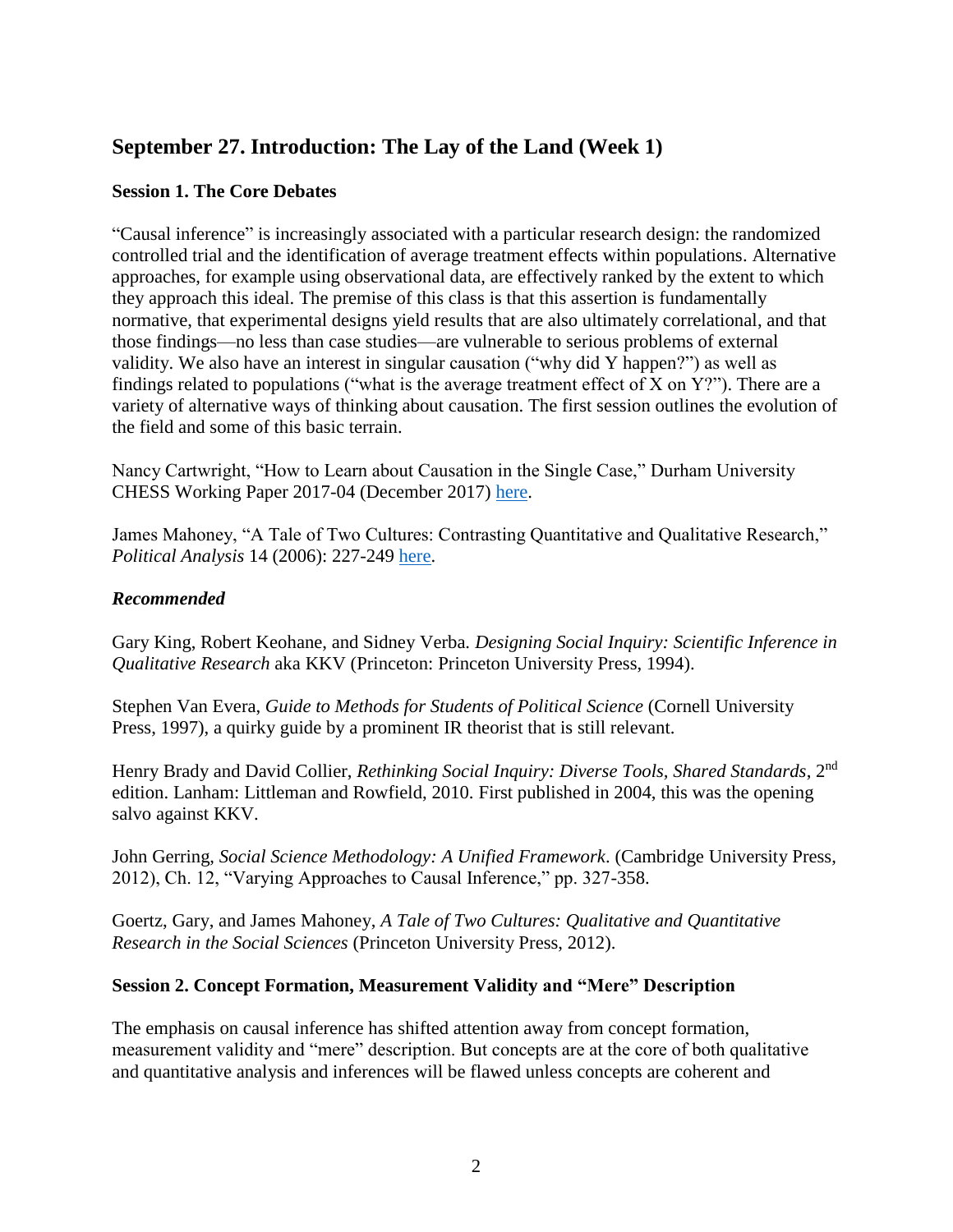# **September 27. Introduction: The Lay of the Land (Week 1)**

### **Session 1. The Core Debates**

"Causal inference" is increasingly associated with a particular research design: the randomized controlled trial and the identification of average treatment effects within populations. Alternative approaches, for example using observational data, are effectively ranked by the extent to which they approach this ideal. The premise of this class is that this assertion is fundamentally normative, that experimental designs yield results that are also ultimately correlational, and that those findings—no less than case studies—are vulnerable to serious problems of external validity. We also have an interest in singular causation ("why did Y happen?") as well as findings related to populations ("what is the average treatment effect of  $X$  on  $Y$ ?"). There are a variety of alternative ways of thinking about causation. The first session outlines the evolution of the field and some of this basic terrain.

Nancy Cartwright, "How to Learn about Causation in the Single Case," Durham University CHESS Working Paper 2017-04 (December 2017) [here.](https://www.dur.ac.uk/resources/chess/CHESSK4UWP_2017_04_Cartwright.pdf)

James Mahoney, "A Tale of Two Cultures: Contrasting Quantitative and Qualitative Research," *Political Analysis* 14 (2006): 227-249 [here.](https://www.cambridge.org/core/journals/political-analysis/article/div-classtitlea-tale-of-two-cultures-contrasting-quantitative-and-qualitative-researchdiv/74CDE90B427798F4986F0B5039D48C67)

### *Recommended*

Gary King, Robert Keohane, and Sidney Verba. *Designing Social Inquiry: Scientific Inference in Qualitative Research* aka KKV (Princeton: Princeton University Press, 1994).

Stephen Van Evera, *Guide to Methods for Students of Political Science* (Cornell University Press, 1997), a quirky guide by a prominent IR theorist that is still relevant.

Henry Brady and David Collier, *Rethinking Social Inquiry: Diverse Tools, Shared Standards*, 2nd edition. Lanham: Littleman and Rowfield, 2010. First published in 2004, this was the opening salvo against KKV.

John Gerring, *Social Science Methodology: A Unified Framework*. (Cambridge University Press, 2012), Ch. 12, "Varying Approaches to Causal Inference," pp. 327-358.

Goertz, Gary, and James Mahoney, *A Tale of Two Cultures: Qualitative and Quantitative Research in the Social Sciences* (Princeton University Press, 2012).

### **Session 2. Concept Formation, Measurement Validity and "Mere" Description**

The emphasis on causal inference has shifted attention away from concept formation, measurement validity and "mere" description. But concepts are at the core of both qualitative and quantitative analysis and inferences will be flawed unless concepts are coherent and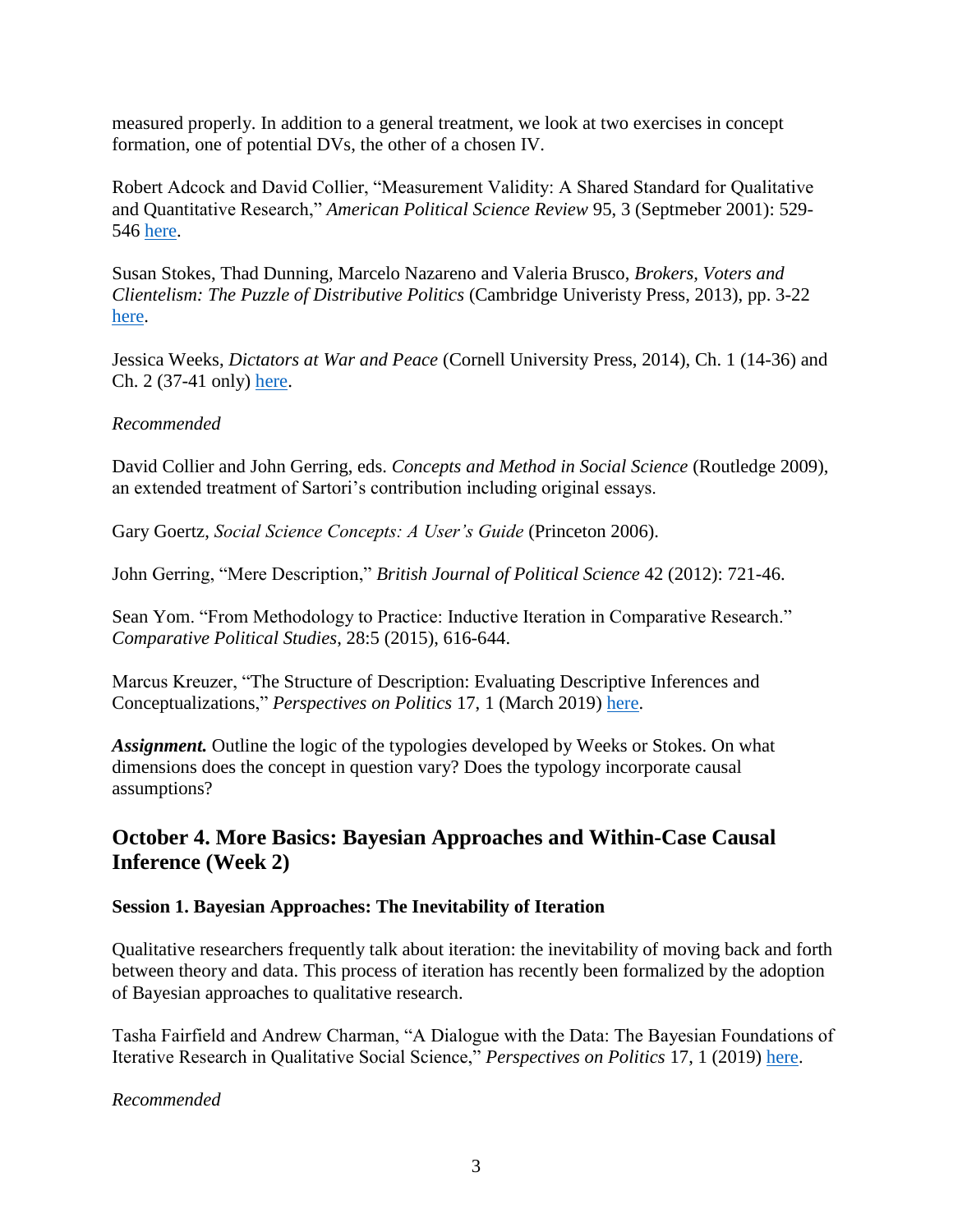measured properly. In addition to a general treatment, we look at two exercises in concept formation, one of potential DVs, the other of a chosen IV.

Robert Adcock and David Collier, "Measurement Validity: A Shared Standard for Qualitative and Quantitative Research," *American Political Science Review* 95, 3 (Septmeber 2001): 529- 546 [here.](https://www.jstor.org/stable/3118231?seq=1#page_scan_tab_contents)

Susan Stokes, Thad Dunning, Marcelo Nazareno and Valeria Brusco, *Brokers, Voters and Clientelism: The Puzzle of Distributive Politics* (Cambridge Univeristy Press, 2013), pp. 3-22 [here.](https://www.cambridge.org/core/books/brokers-voters-and-clientelism/2346382B38862E36C09042C779EA1510)

Jessica Weeks, *Dictators at War and Peace* (Cornell University Press, 2014), Ch. 1 (14-36) and Ch. 2 (37-41 only) [here.](http://www.jstor.org/stable/10.7591/j.ctt1287f18)

## *Recommended*

David Collier and John Gerring, eds. *Concepts and Method in Social Science* (Routledge 2009), an extended treatment of Sartori's contribution including original essays.

Gary Goertz, *Social Science Concepts: A User's Guide* (Princeton 2006).

John Gerring, "Mere Description," *British Journal of Political Science* 42 (2012): 721-46.

Sean Yom. "From Methodology to Practice: Inductive Iteration in Comparative Research." *Comparative Political Studies*, 28:5 (2015), 616-644.

Marcus Kreuzer, "The Structure of Description: Evaluating Descriptive Inferences and Conceptualizations," *Perspectives on Politics* 17, 1 (March 2019) [here.](https://www.cambridge.org/core/services/aop-cambridge-core/content/view/752F5FD7EBA8B84537A1BAB10CBF8745/S1537592718001068a.pdf/structure_of_description_evaluating_descriptive_inferences_and_conceptualizations.pdf)

*Assignment.* Outline the logic of the typologies developed by Weeks or Stokes. On what dimensions does the concept in question vary? Does the typology incorporate causal assumptions?

## **October 4. More Basics: Bayesian Approaches and Within-Case Causal Inference (Week 2)**

## **Session 1. Bayesian Approaches: The Inevitability of Iteration**

Qualitative researchers frequently talk about iteration: the inevitability of moving back and forth between theory and data. This process of iteration has recently been formalized by the adoption of Bayesian approaches to qualitative research.

Tasha Fairfield and Andrew Charman, "A Dialogue with the Data: The Bayesian Foundations of Iterative Research in Qualitative Social Science," *Perspectives on Politics* 17, 1 (2019) [here.](https://www.cambridge.org/core/journals/perspectives-on-politics/article/dialogue-with-the-data-the-bayesian-foundations-of-iterative-research-in-qualitative-social-science/A7E25B8CF6D40E1F0C373695D023E829)

### *Recommended*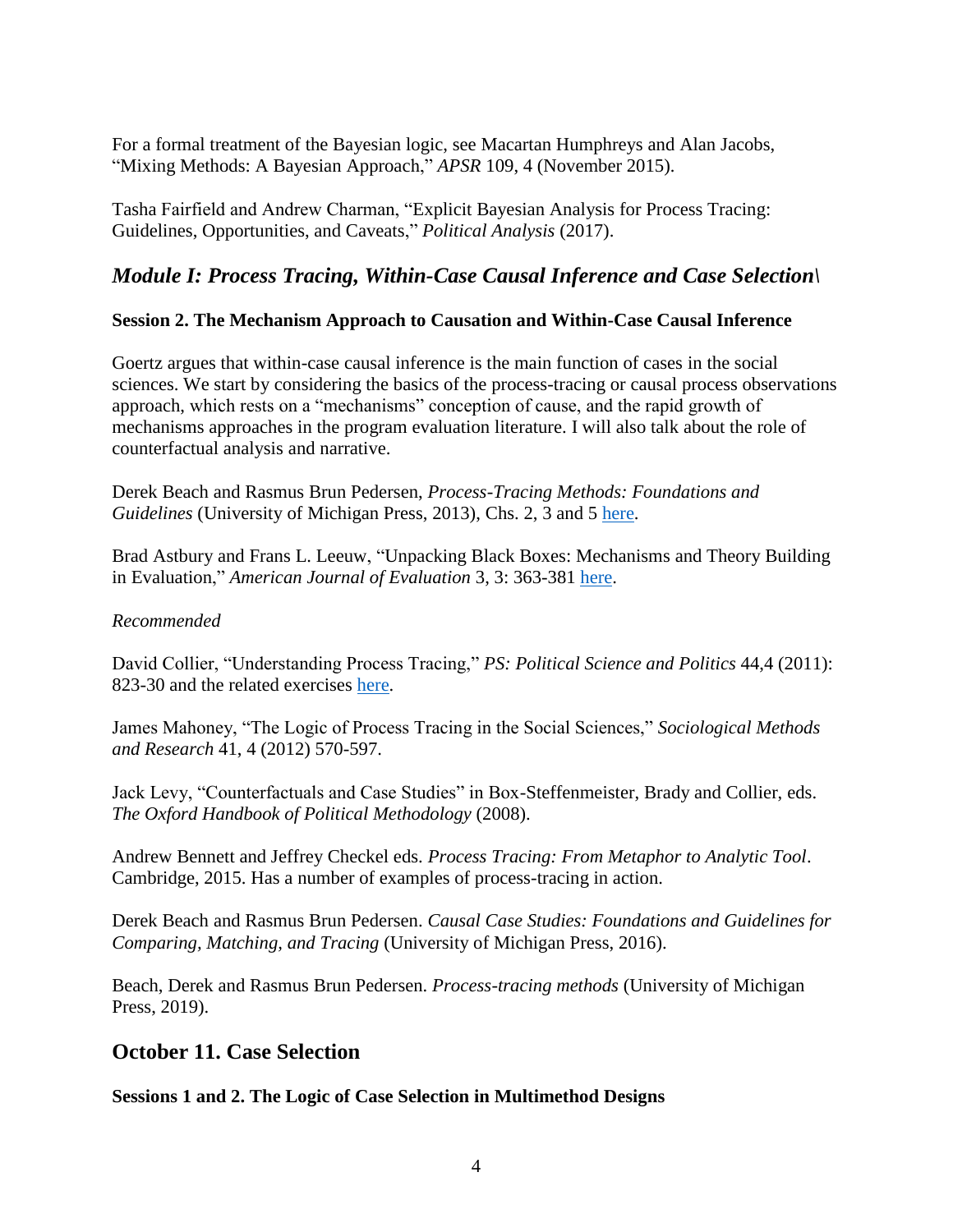For a formal treatment of the Bayesian logic, see Macartan Humphreys and Alan Jacobs, "Mixing Methods: A Bayesian Approach," *APSR* 109, 4 (November 2015)*.* 

Tasha Fairfield and Andrew Charman, "Explicit Bayesian Analysis for Process Tracing: Guidelines, Opportunities, and Caveats," *Political Analysis* (2017).

# *Module I: Process Tracing, Within-Case Causal Inference and Case Selection\*

## **Session 2. The Mechanism Approach to Causation and Within-Case Causal Inference**

Goertz argues that within-case causal inference is the main function of cases in the social sciences. We start by considering the basics of the process-tracing or causal process observations approach, which rests on a "mechanisms" conception of cause, and the rapid growth of mechanisms approaches in the program evaluation literature. I will also talk about the role of counterfactual analysis and narrative.

Derek Beach and Rasmus Brun Pedersen, *Process-Tracing Methods: Foundations and Guidelines* (University of Michigan Press, 2013), Chs. 2, 3 and 5 [here.](https://ebookcentral.proquest.com/lib/ucsd/detail.action?docID=3415124)

Brad Astbury and Frans L. Leeuw, "Unpacking Black Boxes: Mechanisms and Theory Building in Evaluation," *American Journal of Evaluation* 3, 3: 363-381 [here.](https://journals.sagepub.com/doi/pdf/10.1177/1098214010371972)

### *Recommended*

David Collier, "Understanding Process Tracing," *PS: Political Science and Politics* 44,4 (2011): 823-30 and the related exercises [here.](http://polisci.berkeley.edu/sites/default/files/people/u3827/Teaching%20Process%20Tracing.pdf)

James Mahoney, "The Logic of Process Tracing in the Social Sciences," *Sociological Methods and Research* 41, 4 (2012) 570-597.

Jack Levy, "Counterfactuals and Case Studies" in Box-Steffenmeister, Brady and Collier, eds. *The Oxford Handbook of Political Methodology* (2008).

Andrew Bennett and Jeffrey Checkel eds. *Process Tracing: From Metaphor to Analytic Tool*. Cambridge, 2015. Has a number of examples of process-tracing in action.

Derek Beach and Rasmus Brun Pedersen. *Causal Case Studies: Foundations and Guidelines for Comparing, Matching, and Tracing* (University of Michigan Press, 2016).

Beach, Derek and Rasmus Brun Pedersen. *Process-tracing methods* (University of Michigan Press, 2019).

## **October 11. Case Selection**

**Sessions 1 and 2. The Logic of Case Selection in Multimethod Designs**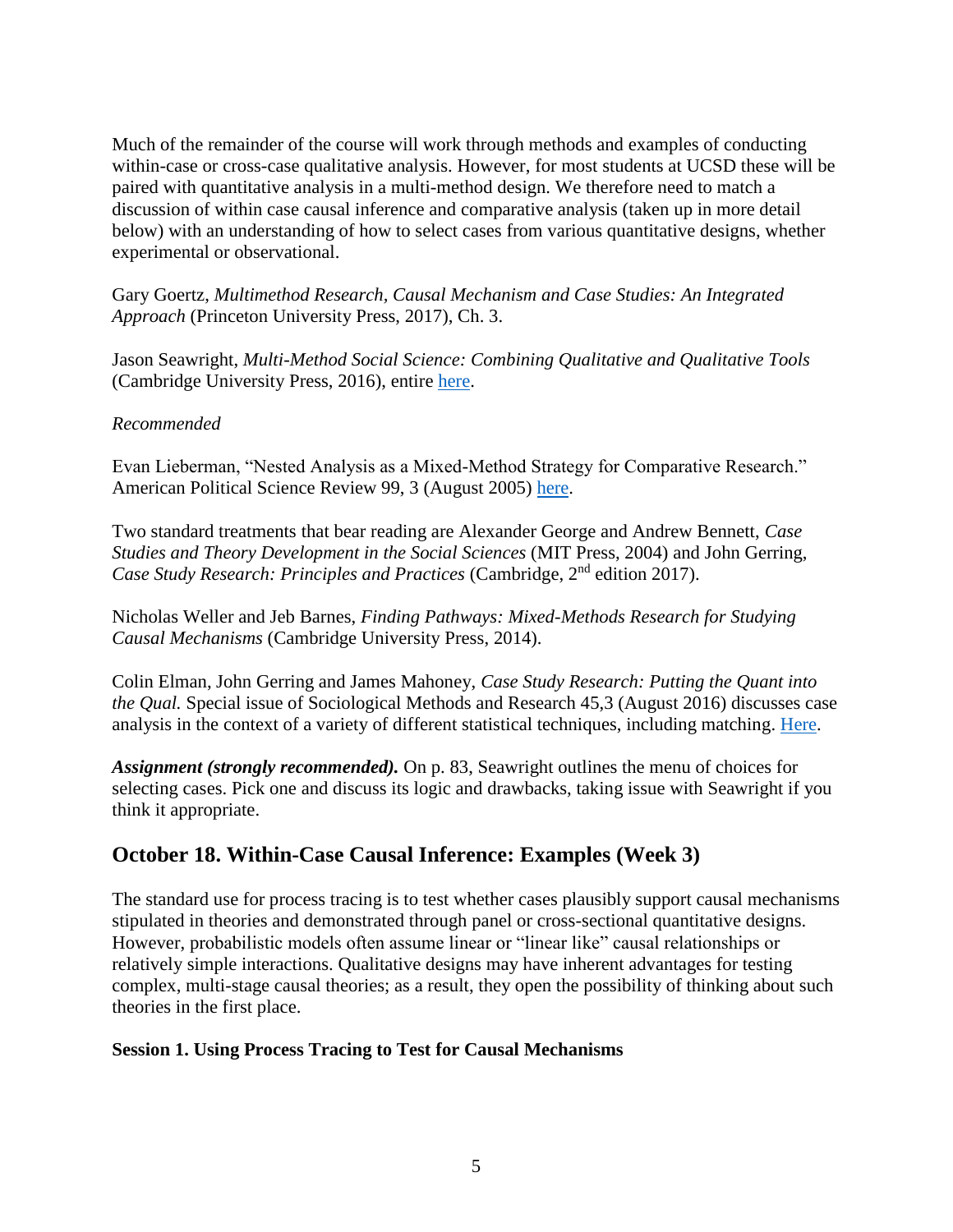Much of the remainder of the course will work through methods and examples of conducting within-case or cross-case qualitative analysis. However, for most students at UCSD these will be paired with quantitative analysis in a multi-method design. We therefore need to match a discussion of within case causal inference and comparative analysis (taken up in more detail below) with an understanding of how to select cases from various quantitative designs, whether experimental or observational.

Gary Goertz, *Multimethod Research, Causal Mechanism and Case Studies: An Integrated Approach* (Princeton University Press, 2017), Ch. 3.

Jason Seawright, *Multi-Method Social Science: Combining Qualitative and Qualitative Tools* (Cambridge University Press, 2016), entire [here.](https://www.cambridge.org/core/books/multimethod-social-science/286C2742878FBCC6225E2F10D6095A0C)

### *Recommended*

Evan Lieberman, "Nested Analysis as a Mixed-Method Strategy for Comparative Research." American Political Science Review 99, 3 (August 2005) [here.](https://www.cambridge.org/core/journals/american-political-science-review/article/nested-analysis-as-a-mixed-method-strategy-for-comparative-research/D4FF59D175D761C20BD6CE440AFD700B)

Two standard treatments that bear reading are Alexander George and Andrew Bennett, *Case Studies and Theory Development in the Social Sciences* (MIT Press, 2004) and John Gerring, *Case Study Research: Principles and Practices* (Cambridge, 2<sup>nd</sup> edition 2017).

Nicholas Weller and Jeb Barnes, *Finding Pathways: Mixed-Methods Research for Studying Causal Mechanisms* (Cambridge University Press, 2014).

Colin Elman, John Gerring and James Mahoney, *Case Study Research: Putting the Quant into the Qual.* Special issue of Sociological Methods and Research 45,3 (August 2016) discusses case analysis in the context of a variety of different statistical techniques, including matching. [Here.](http://journals.sagepub.com/toc/smra/45/3)

*Assignment (strongly recommended).* On p. 83, Seawright outlines the menu of choices for selecting cases. Pick one and discuss its logic and drawbacks, taking issue with Seawright if you think it appropriate.

# **October 18. Within-Case Causal Inference: Examples (Week 3)**

The standard use for process tracing is to test whether cases plausibly support causal mechanisms stipulated in theories and demonstrated through panel or cross-sectional quantitative designs. However, probabilistic models often assume linear or "linear like" causal relationships or relatively simple interactions. Qualitative designs may have inherent advantages for testing complex, multi-stage causal theories; as a result, they open the possibility of thinking about such theories in the first place.

### **Session 1. Using Process Tracing to Test for Causal Mechanisms**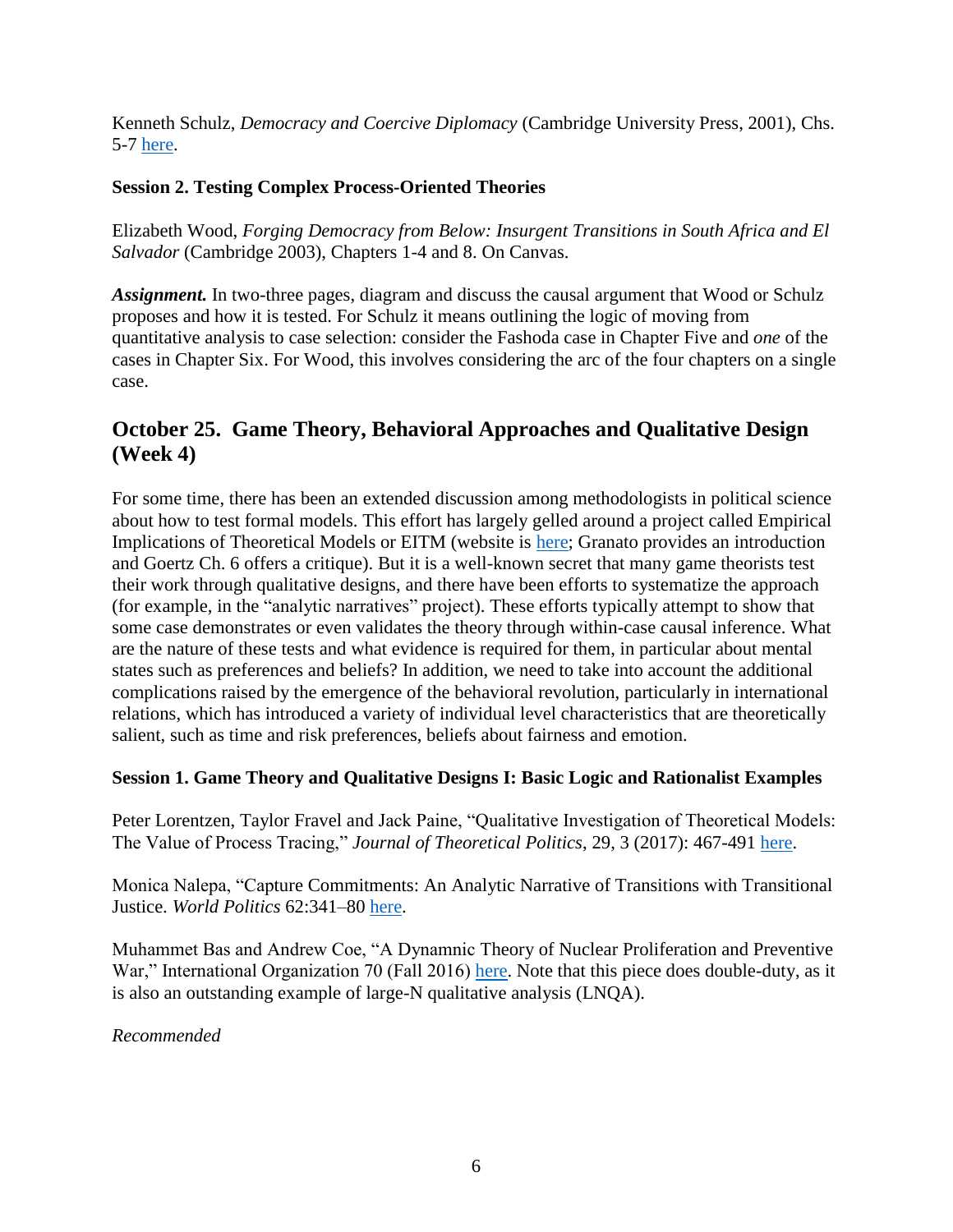Kenneth Schulz, *Democracy and Coercive Diplomacy* (Cambridge University Press, 2001), Chs. 5-7 [here.](https://www.cambridge.org/core/books/democracy-and-coercive-diplomacy/87C76B721996668F3AEDC7B299121931)

## **Session 2. Testing Complex Process-Oriented Theories**

Elizabeth Wood, *Forging Democracy from Below: Insurgent Transitions in South Africa and El Salvador* (Cambridge 2003), Chapters 1-4 and 8. On Canvas.

Assignment. In two-three pages, diagram and discuss the causal argument that Wood or Schulz proposes and how it is tested. For Schulz it means outlining the logic of moving from quantitative analysis to case selection: consider the Fashoda case in Chapter Five and *one* of the cases in Chapter Six. For Wood, this involves considering the arc of the four chapters on a single case.

# **October 25. Game Theory, Behavioral Approaches and Qualitative Design (Week 4)**

For some time, there has been an extended discussion among methodologists in political science about how to test formal models. This effort has largely gelled around a project called Empirical Implications of Theoretical Models or EITM (website is [here;](http://www.eitminstitute.org/) Granato provides an introduction and Goertz Ch. 6 offers a critique). But it is a well-known secret that many game theorists test their work through qualitative designs, and there have been efforts to systematize the approach (for example, in the "analytic narratives" project). These efforts typically attempt to show that some case demonstrates or even validates the theory through within-case causal inference. What are the nature of these tests and what evidence is required for them, in particular about mental states such as preferences and beliefs? In addition, we need to take into account the additional complications raised by the emergence of the behavioral revolution, particularly in international relations, which has introduced a variety of individual level characteristics that are theoretically salient, such as time and risk preferences, beliefs about fairness and emotion.

## **Session 1. Game Theory and Qualitative Designs I: Basic Logic and Rationalist Examples**

Peter Lorentzen, Taylor Fravel and Jack Paine, "Qualitative Investigation of Theoretical Models: The Value of Process Tracing," *Journal of Theoretical Politics*, 29, 3 (2017): 467-491 [here.](http://journals.sagepub.com/doi/abs/10.1177/0951629816664420)

Monica Nalepa, "Capture Commitments: An Analytic Narrative of Transitions with Transitional Justice. *World Politics* 62:341–80 [here.](https://www.monikanalepa.com/uploads/6/6/3/1/66318923/2_captured_committments.pdf)

Muhammet Bas and Andrew Coe, "A Dynamnic Theory of Nuclear Proliferation and Preventive War," International Organization 70 (Fall 2016) [here.](https://www.cambridge.org/core/services/aop-cambridge-core/content/view/2BE5C2F5AB7D559C8A0F4D881DE22F41/S0020818316000230a.pdf/dynamic_theory_of_nuclear_proliferation_and_preventive_war.pdf) Note that this piece does double-duty, as it is also an outstanding example of large-N qualitative analysis (LNQA).

*Recommended*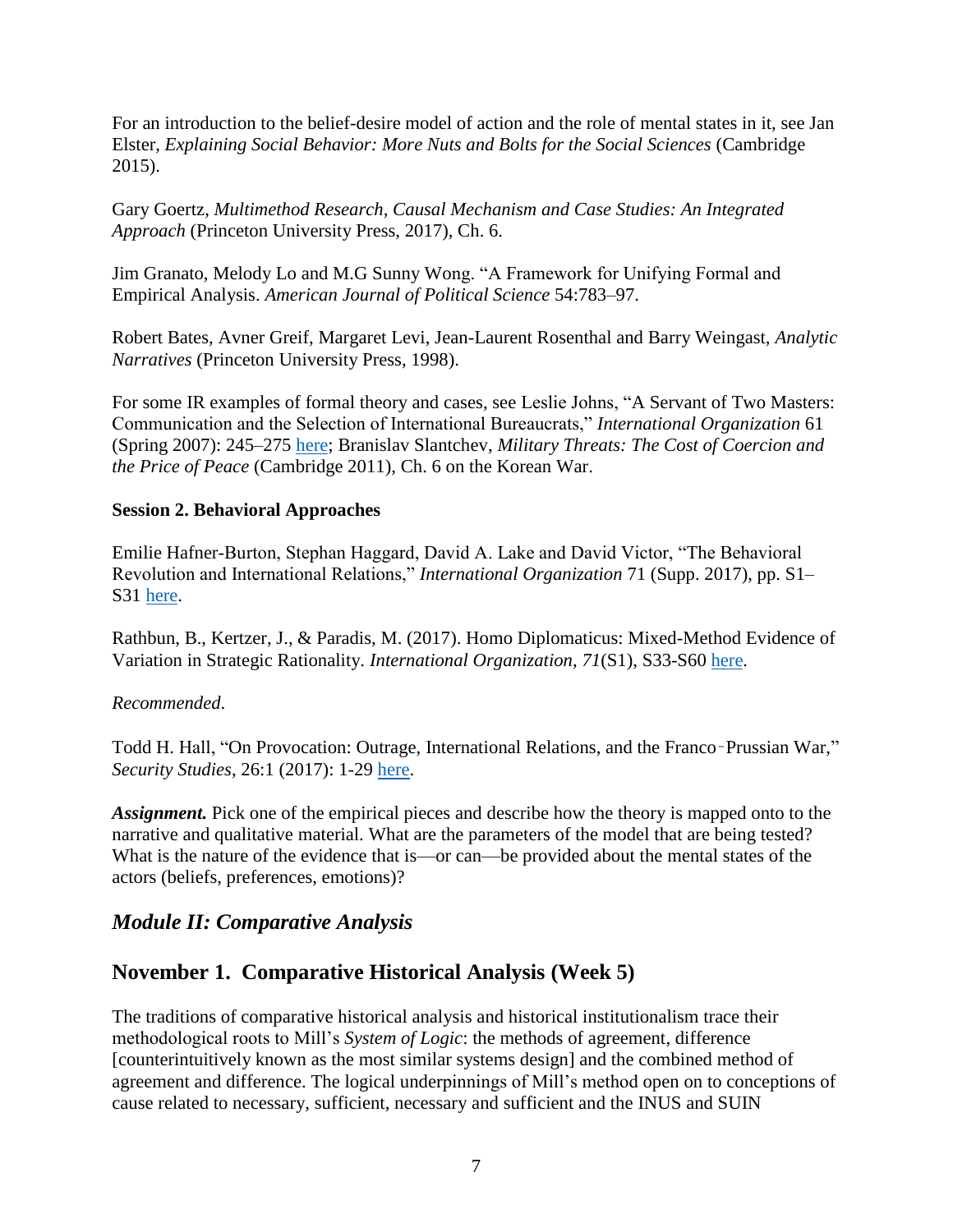For an introduction to the belief-desire model of action and the role of mental states in it, see Jan Elster, *Explaining Social Behavior: More Nuts and Bolts for the Social Sciences* (Cambridge 2015).

Gary Goertz, *Multimethod Research, Causal Mechanism and Case Studies: An Integrated Approach* (Princeton University Press, 2017), Ch. 6.

Jim Granato, Melody Lo and M.G Sunny Wong. "A Framework for Unifying Formal and Empirical Analysis. *American Journal of Political Science* 54:783–97.

Robert Bates, Avner Greif, Margaret Levi, Jean-Laurent Rosenthal and Barry Weingast, *Analytic Narratives* (Princeton University Press, 1998).

For some IR examples of formal theory and cases, see Leslie Johns, "A Servant of Two Masters: Communication and the Selection of International Bureaucrats," *International Organization* 61 (Spring 2007): 245–275 [here;](https://www.jstor.org/stable/4498145?seq=1#page_scan_tab_contents) Branislav Slantchev, *Military Threats: The Cost of Coercion and the Price of Peace* (Cambridge 2011), Ch. 6 on the Korean War.

### **Session 2. Behavioral Approaches**

Emilie Hafner-Burton, Stephan Haggard, David A. Lake and David Victor, "The Behavioral Revolution and International Relations," *International Organization* 71 (Supp. 2017), pp. S1– S31 [here.](https://www.cambridge.org/core/journals/international-organization/article/behavioral-revolution-and-international-relations/C00E297DF5801C7A09F5334ABE40E54D)

Rathbun, B., Kertzer, J., & Paradis, M. (2017). Homo Diplomaticus: Mixed-Method Evidence of Variation in Strategic Rationality. *International Organization, 71*(S1), S33-S60 [here.](https://www.cambridge.org/core/journals/international-organization/article/homo-diplomaticus-mixedmethod-evidence-of-variation-in-strategic-rationality/4EA12054545573C8B142964D3A2D492C)

### *Recommended*.

Todd H. Hall, "On Provocation: Outrage, International Relations, and the Franco–Prussian War," *Security Studies*, 26:1 (2017): 1-29 [here.](https://www.tandfonline.com/doi/full/10.1080/09636412.2017.1243897)

*Assignment.* Pick one of the empirical pieces and describe how the theory is mapped onto to the narrative and qualitative material. What are the parameters of the model that are being tested? What is the nature of the evidence that is—or can—be provided about the mental states of the actors (beliefs, preferences, emotions)?

# *Module II: Comparative Analysis*

# **November 1. Comparative Historical Analysis (Week 5)**

The traditions of comparative historical analysis and historical institutionalism trace their methodological roots to Mill's *System of Logic*: the methods of agreement, difference [counterintuitively known as the most similar systems design] and the combined method of agreement and difference. The logical underpinnings of Mill's method open on to conceptions of cause related to necessary, sufficient, necessary and sufficient and the INUS and SUIN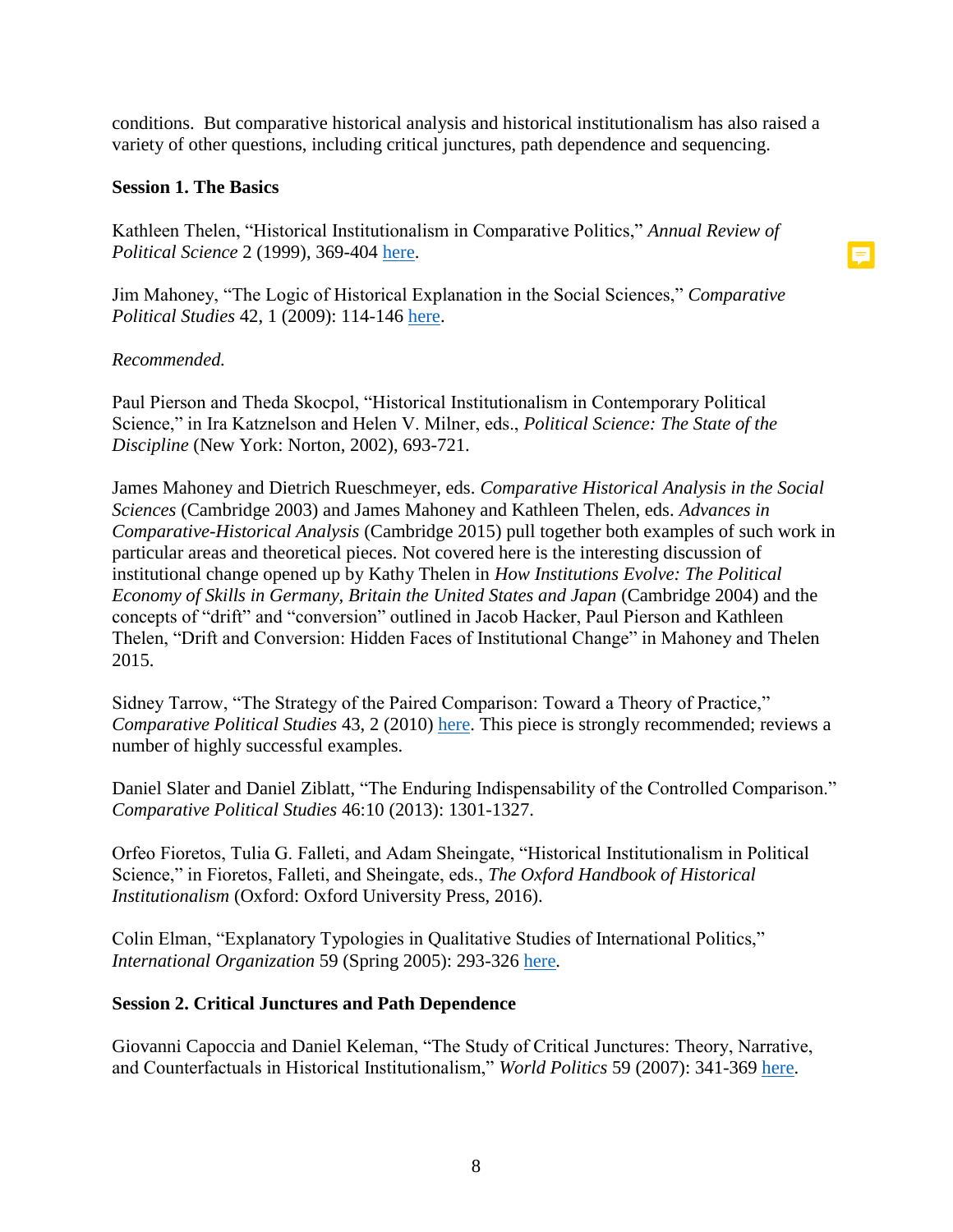conditions. But comparative historical analysis and historical institutionalism has also raised a variety of other questions, including critical junctures, path dependence and sequencing.

### **Session 1. The Basics**

Kathleen Thelen, "Historical Institutionalism in Comparative Politics," *Annual Review of Political Science* 2 (1999), 369-404 [here.](https://www.annualreviews.org/doi/full/10.1146/annurev.polisci.2.1.369)

日

Jim Mahoney, "The Logic of Historical Explanation in the Social Sciences," *Comparative Political Studies* 42, 1 (2009): 114-146 [here.](http://journals.sagepub.com/doi/pdf/10.1177/0010414008325433)

### *Recommended.*

Paul Pierson and Theda Skocpol, "Historical Institutionalism in Contemporary Political Science," in Ira Katznelson and Helen V. Milner, eds., *Political Science: The State of the Discipline* (New York: Norton, 2002), 693-721.

James Mahoney and Dietrich Rueschmeyer, eds. *Comparative Historical Analysis in the Social Sciences* (Cambridge 2003) and James Mahoney and Kathleen Thelen, eds. *Advances in Comparative-Historical Analysis* (Cambridge 2015) pull together both examples of such work in particular areas and theoretical pieces. Not covered here is the interesting discussion of institutional change opened up by Kathy Thelen in *How Institutions Evolve: The Political Economy of Skills in Germany, Britain the United States and Japan* (Cambridge 2004) and the concepts of "drift" and "conversion" outlined in Jacob Hacker, Paul Pierson and Kathleen Thelen, "Drift and Conversion: Hidden Faces of Institutional Change" in Mahoney and Thelen 2015.

Sidney Tarrow, "The Strategy of the Paired Comparison: Toward a Theory of Practice," *Comparative Political Studies* 43, 2 (2010) [here.](http://journals.sagepub.com/doi/pdf/10.1177/0010414009350044) This piece is strongly recommended; reviews a number of highly successful examples.

Daniel Slater and Daniel Ziblatt, "The Enduring Indispensability of the Controlled Comparison." *Comparative Political Studies* 46:10 (2013): 1301-1327.

Orfeo Fioretos, Tulia G. Falleti, and Adam Sheingate, "Historical Institutionalism in Political Science," in Fioretos, Falleti, and Sheingate, eds., *The Oxford Handbook of Historical Institutionalism* (Oxford: Oxford University Press, 2016).

Colin Elman, "Explanatory Typologies in Qualitative Studies of International Politics," *International Organization* 59 (Spring 2005): 293-326 [here.](https://www.cambridge.org/core/journals/international-organization/article/div-classtitleexplanatory-typologies-in-qualitative-studies-of-international-politicsdiv/F5261FE4447AD190EBD8410E06FF3459)

## **Session 2. Critical Junctures and Path Dependence**

Giovanni Capoccia and Daniel Keleman, "The Study of Critical Junctures: Theory, Narrative, and Counterfactuals in Historical Institutionalism," *World Politics* 59 (2007): 341-369 [here.](https://www.cambridge.org/core/services/aop-cambridge-core/content/view/BAAE0860F1F641357C29C9AC72A54758/S0043887100020852a.pdf/study_of_critical_junctures_theory_narrative_and_counterfactuals_in_historical_institutionalism.pdf)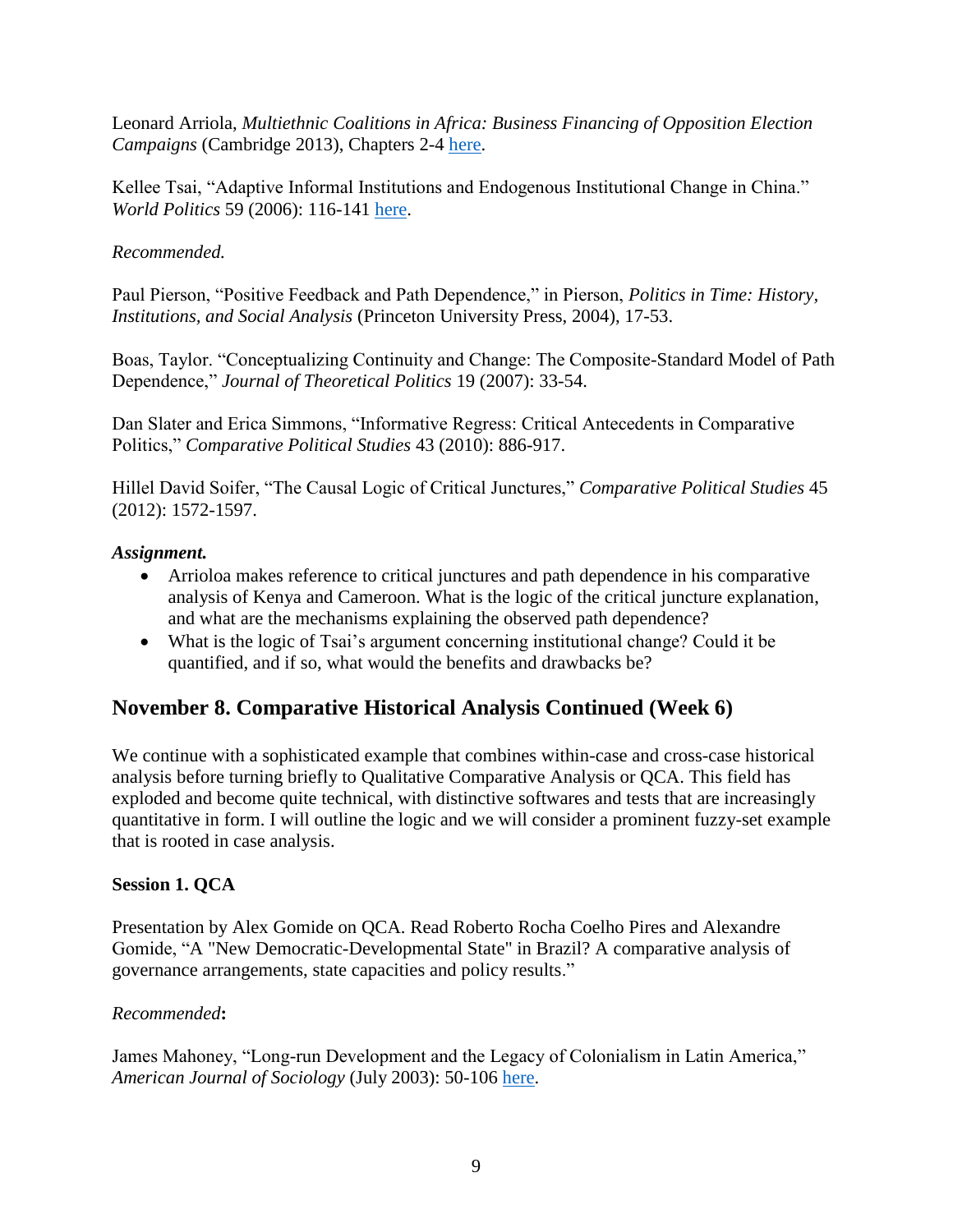Leonard Arriola, *Multiethnic Coalitions in Africa: Business Financing of Opposition Election Campaigns* (Cambridge 2013), Chapters 2-4 [here.](https://www.cambridge.org/core/books/multiethnic-coalitions-in-africa/8AEE4AC915F7D8A3EF4B9C992CFC9FBF)

Kellee Tsai, "Adaptive Informal Institutions and Endogenous Institutional Change in China." *World Politics* 59 (2006): 116-141 [here.](https://www.cambridge.org/core/services/aop-cambridge-core/content/view/2E09A5797B0E947DBA0367DB0C267703/S0043887100020748a.pdf/adaptive_informal_institutions_and_endogenous_institutional_change_in_china.pdf)

## *Recommended.*

Paul Pierson, "Positive Feedback and Path Dependence," in Pierson, *Politics in Time: History, Institutions, and Social Analysis* (Princeton University Press, 2004), 17-53.

Boas, Taylor. "Conceptualizing Continuity and Change: The Composite-Standard Model of Path Dependence," *Journal of Theoretical Politics* 19 (2007): 33-54.

Dan Slater and Erica Simmons, "Informative Regress: Critical Antecedents in Comparative Politics," *Comparative Political Studies* 43 (2010): 886-917.

Hillel David Soifer, "The Causal Logic of Critical Junctures," *Comparative Political Studies* 45 (2012): 1572-1597.

## *Assignment.*

- Arrioloa makes reference to critical junctures and path dependence in his comparative analysis of Kenya and Cameroon. What is the logic of the critical juncture explanation, and what are the mechanisms explaining the observed path dependence?
- What is the logic of Tsai's argument concerning institutional change? Could it be quantified, and if so, what would the benefits and drawbacks be?

# **November 8. Comparative Historical Analysis Continued (Week 6)**

We continue with a sophisticated example that combines within-case and cross-case historical analysis before turning briefly to Qualitative Comparative Analysis or QCA. This field has exploded and become quite technical, with distinctive softwares and tests that are increasingly quantitative in form. I will outline the logic and we will consider a prominent fuzzy-set example that is rooted in case analysis.

## **Session 1. QCA**

Presentation by Alex Gomide on QCA. Read Roberto Rocha Coelho Pires and Alexandre Gomide, "A "New Democratic-Developmental State" in Brazil? A comparative analysis of governance arrangements, state capacities and policy results."

## *Recommended***:**

James Mahoney, "Long-run Development and the Legacy of Colonialism in Latin America," *American Journal of Sociology* (July 2003): 50-106 [here.](https://www.journals.uchicago.edu/doi/abs/10.1086/378454)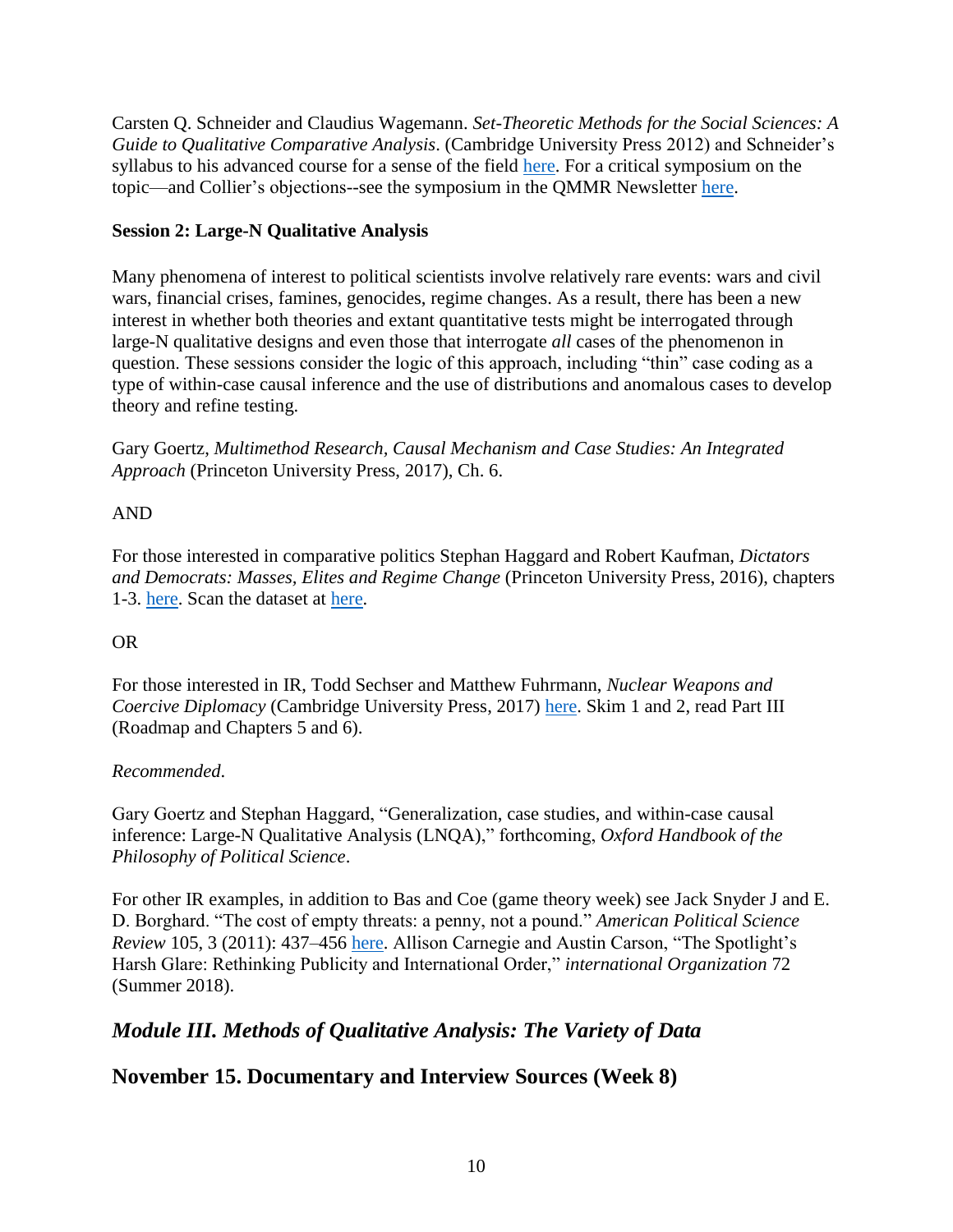Carsten Q. Schneider and Claudius Wagemann. *Set-Theoretic Methods for the Social Sciences: A Guide to Qualitative Comparative Analysis*. (Cambridge University Press 2012) and Schneider's syllabus to his advanced course for a sense of the field [here.](https://ecpr.eu/Events/PanelDetails.aspx?PanelID=7413&EventID=120) For a critical symposium on the topic—and Collier's objections--see the symposium in the QMMR Newsletter [here.](https://www.maxwell.syr.edu/moynihan/cqrm/Qualitative_Methods_Newsletters/Table_of_Contents_12_1/)

## **Session 2: Large-N Qualitative Analysis**

Many phenomena of interest to political scientists involve relatively rare events: wars and civil wars, financial crises, famines, genocides, regime changes. As a result, there has been a new interest in whether both theories and extant quantitative tests might be interrogated through large-N qualitative designs and even those that interrogate *all* cases of the phenomenon in question. These sessions consider the logic of this approach, including "thin" case coding as a type of within-case causal inference and the use of distributions and anomalous cases to develop theory and refine testing.

Gary Goertz, *Multimethod Research, Causal Mechanism and Case Studies: An Integrated Approach* (Princeton University Press, 2017), Ch. 6.

## AND

For those interested in comparative politics Stephan Haggard and Robert Kaufman, *Dictators and Democrats: Masses, Elites and Regime Change* (Princeton University Press, 2016), chapters 1-3. [here.](https://www.jstor.org/stable/j.ctt1q1xs6z) Scan the dataset at [here.](http://assets.press.princeton.edu/releases/m10879.pdf)

## OR

For those interested in IR, Todd Sechser and Matthew Fuhrmann, *Nuclear Weapons and Coercive Diplomacy* (Cambridge University Press, 2017) [here.](https://www.cambridge.org/core/books/nuclear-weapons-and-coercive-diplomacy/479C1445D90F1225D9D60B3C7C075B3E) Skim 1 and 2, read Part III (Roadmap and Chapters 5 and 6).

## *Recommended*.

Gary Goertz and Stephan Haggard, "Generalization, case studies, and within-case causal inference: Large-N Qualitative Analysis (LNQA)," forthcoming, *Oxford Handbook of the Philosophy of Political Science*.

For other IR examples, in addition to Bas and Coe (game theory week) see Jack Snyder J and E. D. Borghard. "The cost of empty threats: a penny, not a pound." *American Political Science Review* 105, 3 (2011): 437–456 [here.](https://www.cambridge.org/core/journals/american-political-science-review/article/cost-of-empty-threats-a-penny-not-a-pound/2E18EEFDB257556D4350AAFEE4EA3961) Allison Carnegie and Austin Carson, "The Spotlight's Harsh Glare: Rethinking Publicity and International Order," *international Organization* 72 (Summer 2018).

# *Module III. Methods of Qualitative Analysis: The Variety of Data*

# **November 15. Documentary and Interview Sources (Week 8)**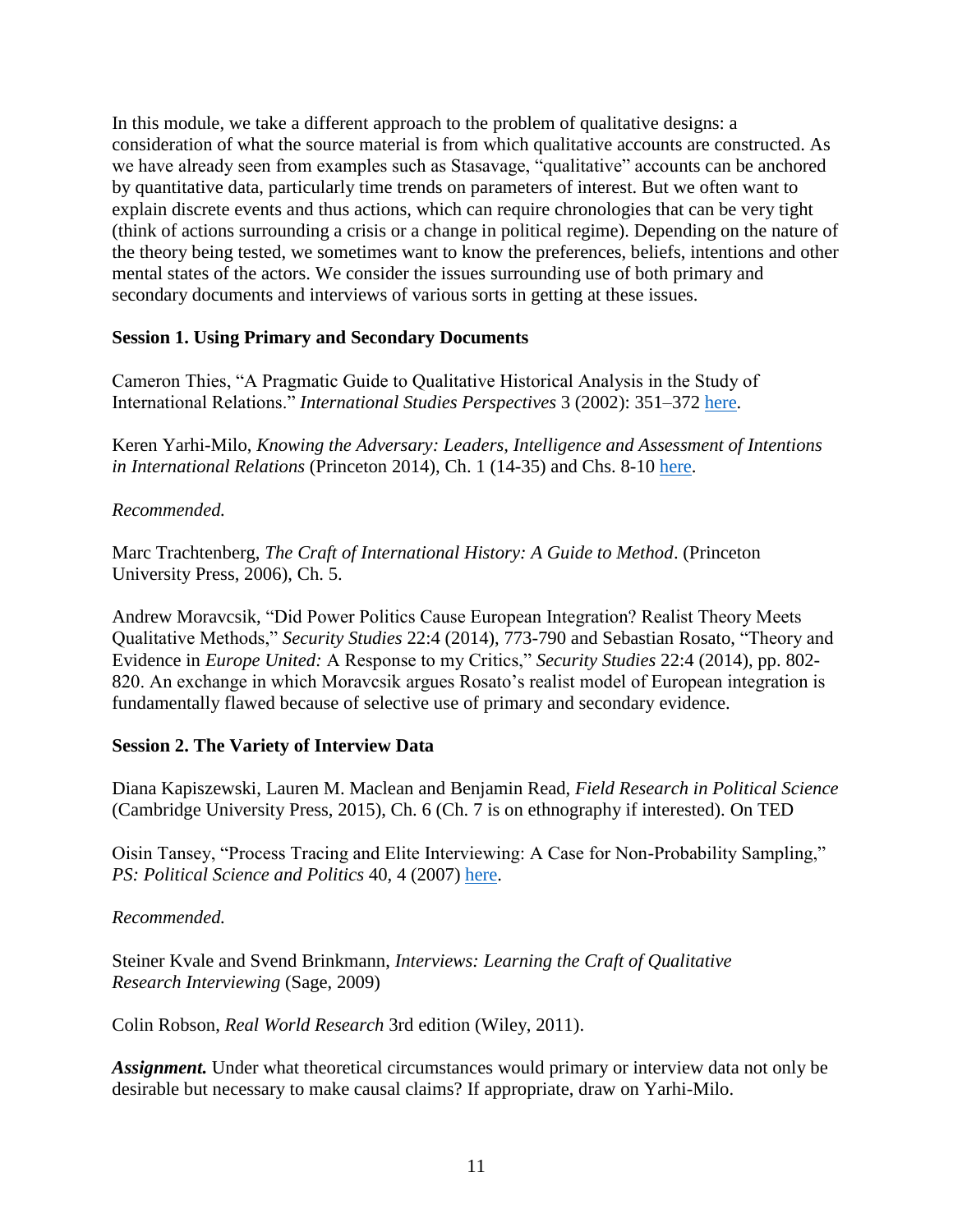In this module, we take a different approach to the problem of qualitative designs: a consideration of what the source material is from which qualitative accounts are constructed. As we have already seen from examples such as Stasavage, "qualitative" accounts can be anchored by quantitative data, particularly time trends on parameters of interest. But we often want to explain discrete events and thus actions, which can require chronologies that can be very tight (think of actions surrounding a crisis or a change in political regime). Depending on the nature of the theory being tested, we sometimes want to know the preferences, beliefs, intentions and other mental states of the actors. We consider the issues surrounding use of both primary and secondary documents and interviews of various sorts in getting at these issues.

## **Session 1. Using Primary and Secondary Documents**

Cameron Thies, "A Pragmatic Guide to Qualitative Historical Analysis in the Study of International Relations." *International Studies Perspectives* 3 (2002): 351–372 [here.](https://onlinelibrary.wiley.com/doi/epdf/10.1111/1528-3577.t01-1-00099)

Keren Yarhi-Milo, *Knowing the Adversary: Leaders, Intelligence and Assessment of Intentions in International Relations* (Princeton 2014), Ch. 1 (14-35) and Chs. 8-10 [here.](http://www.jstor.org/stable/j.ctt5vjvf7)

### *Recommended.*

Marc Trachtenberg, *The Craft of International History: A Guide to Method*. (Princeton University Press, 2006), Ch. 5.

Andrew Moravcsik, "Did Power Politics Cause European Integration? Realist Theory Meets Qualitative Methods," *Security Studies* 22:4 (2014), 773-790 and Sebastian Rosato, "Theory and Evidence in *Europe United:* A Response to my Critics," *Security Studies* 22:4 (2014), pp. 802- 820. An exchange in which Moravcsik argues Rosato's realist model of European integration is fundamentally flawed because of selective use of primary and secondary evidence.

### **Session 2. The Variety of Interview Data**

Diana Kapiszewski, Lauren M. Maclean and Benjamin Read, *Field Research in Political Science* (Cambridge University Press, 2015), Ch. 6 (Ch. 7 is on ethnography if interested). On TED

Oisin Tansey, "Process Tracing and Elite Interviewing: A Case for Non-Probability Sampling," *PS: Political Science and Politics* 40, 4 (2007) [here.](http://observatory-elites.org/wp-content/uploads/2012/06/tansey.pdf)

### *Recommended.*

Steiner Kvale and Svend Brinkmann, *Interviews: Learning the Craft of Qualitative Research Interviewing* (Sage, 2009)

Colin Robson, *Real World Research* 3rd edition (Wiley, 2011).

Assignment. Under what theoretical circumstances would primary or interview data not only be desirable but necessary to make causal claims? If appropriate, draw on Yarhi-Milo.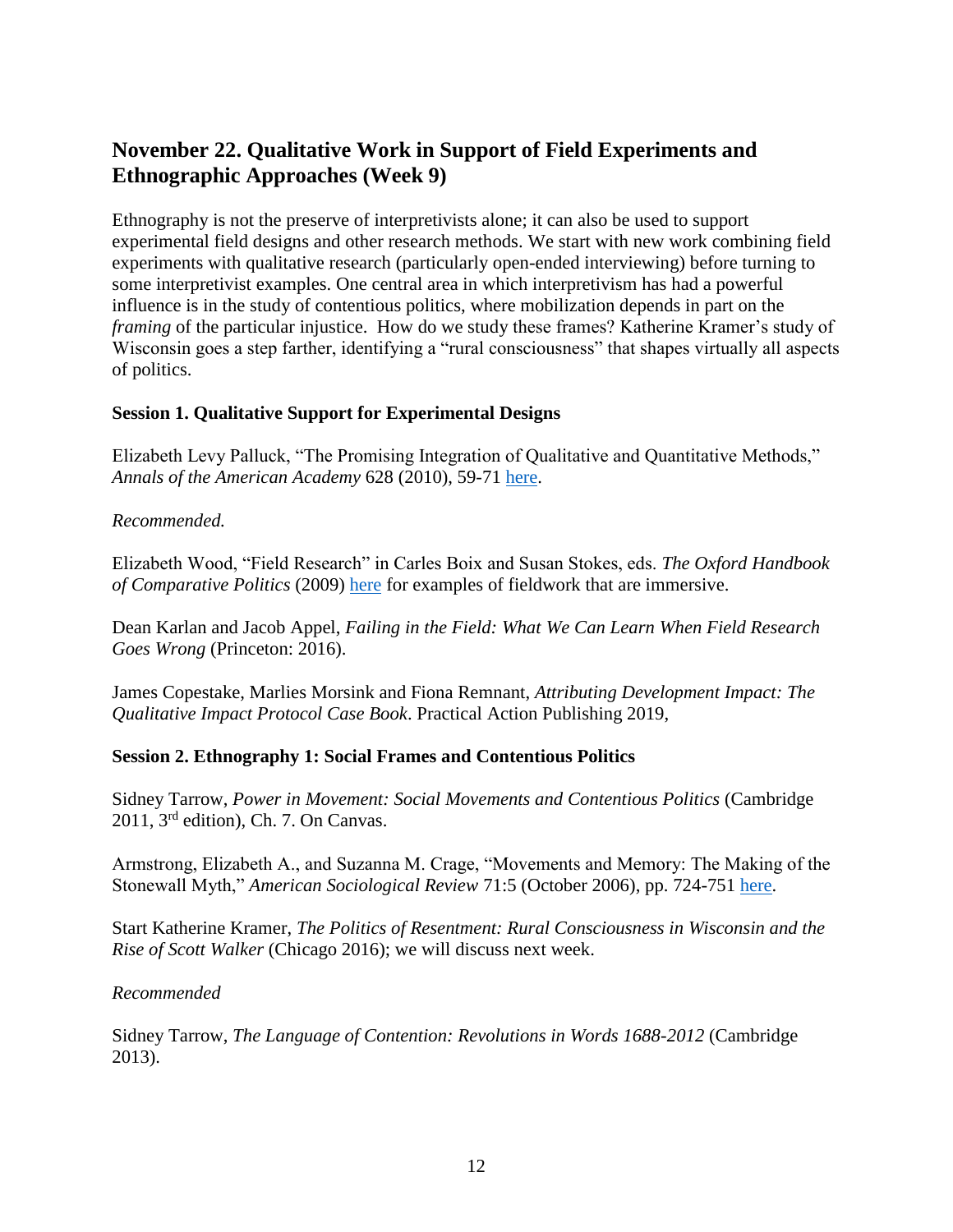# **November 22. Qualitative Work in Support of Field Experiments and Ethnographic Approaches (Week 9)**

Ethnography is not the preserve of interpretivists alone; it can also be used to support experimental field designs and other research methods. We start with new work combining field experiments with qualitative research (particularly open-ended interviewing) before turning to some interpretivist examples. One central area in which interpretivism has had a powerful influence is in the study of contentious politics, where mobilization depends in part on the *framing* of the particular injustice. How do we study these frames? Katherine Kramer's study of Wisconsin goes a step farther, identifying a "rural consciousness" that shapes virtually all aspects of politics.

### **Session 1. Qualitative Support for Experimental Designs**

Elizabeth Levy Palluck, "The Promising Integration of Qualitative and Quantitative Methods," *Annals of the American Academy* 628 (2010), 59-71 [here.](https://www.jstor.org/stable/40607512?seq=1#page_scan_tab_contents)

### *Recommended.*

Elizabeth Wood, "Field Research" in Carles Boix and Susan Stokes, eds. *The Oxford Handbook of Comparative Politics* (2009) [here](https://www.jstor.org/stable/40607512?seq=1#page_scan_tab_contents) for examples of fieldwork that are immersive.

Dean Karlan and Jacob Appel, *Failing in the Field: What We Can Learn When Field Research Goes Wrong* (Princeton: 2016).

James Copestake, Marlies Morsink and Fiona Remnant, *Attributing Development Impact: The Qualitative Impact Protocol Case Book*. Practical Action Publishing 2019,

### **Session 2. Ethnography 1: Social Frames and Contentious Politics**

Sidney Tarrow, *Power in Movement: Social Movements and Contentious Politics* (Cambridge 2011, 3rd edition), Ch. 7. On Canvas.

Armstrong, Elizabeth A., and Suzanna M. Crage, "Movements and Memory: The Making of the Stonewall Myth," *American Sociological Review* 71:5 (October 2006), pp. 724-751 [here.](http://journals.sagepub.com/doi/pdf/10.1177/000312240607100502)

Start Katherine Kramer, *The Politics of Resentment: Rural Consciousness in Wisconsin and the Rise of Scott Walker* (Chicago 2016); we will discuss next week.

### *Recommended*

Sidney Tarrow, *The Language of Contention: Revolutions in Words 1688-2012* (Cambridge 2013).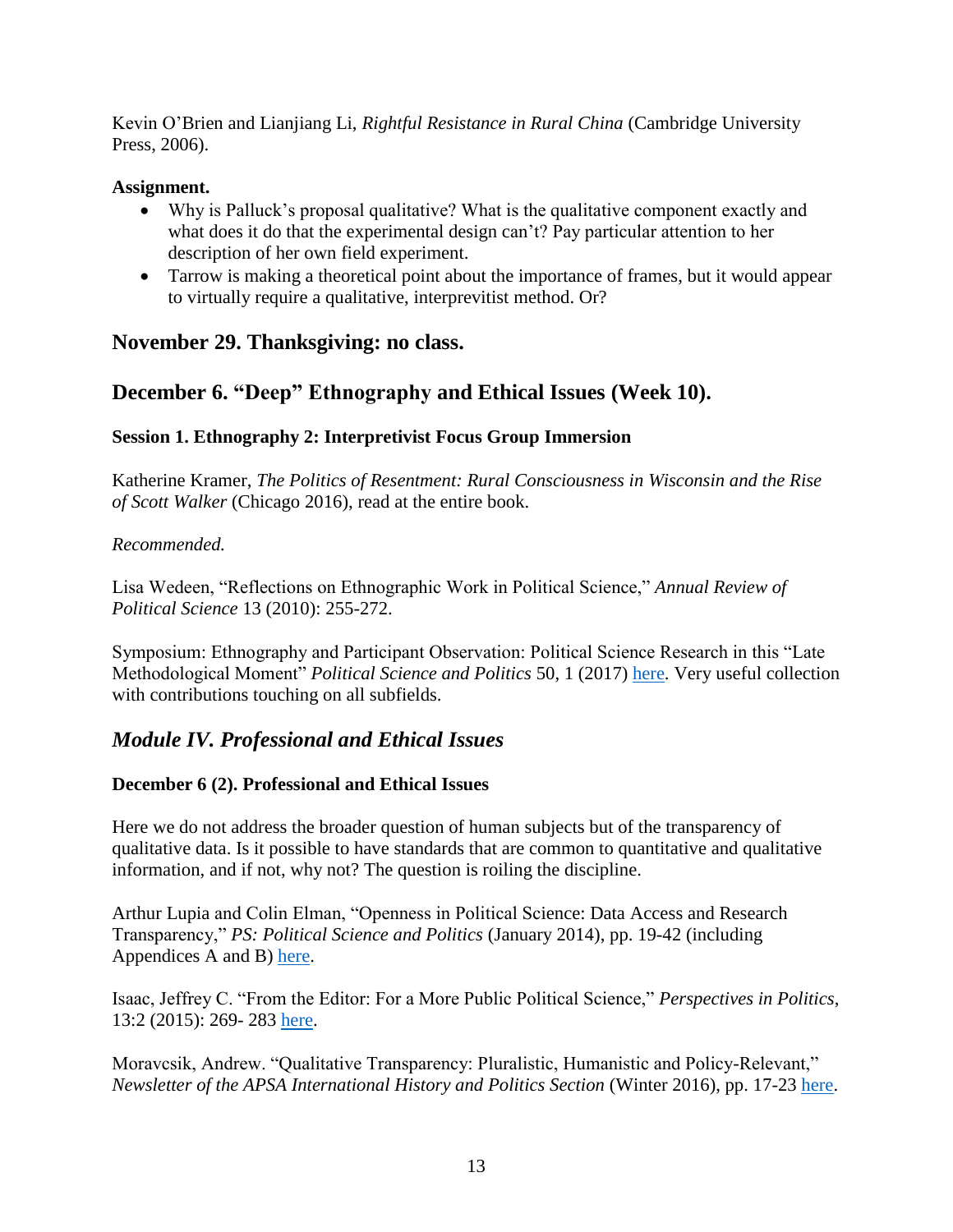Kevin O'Brien and Lianjiang Li, *Rightful Resistance in Rural China* (Cambridge University Press, 2006).

### **Assignment.**

- Why is Palluck's proposal qualitative? What is the qualitative component exactly and what does it do that the experimental design can't? Pay particular attention to her description of her own field experiment.
- Tarrow is making a theoretical point about the importance of frames, but it would appear to virtually require a qualitative, interprevitist method. Or?

## **November 29. Thanksgiving: no class.**

## **December 6. "Deep" Ethnography and Ethical Issues (Week 10).**

## **Session 1. Ethnography 2: Interpretivist Focus Group Immersion**

Katherine Kramer, *The Politics of Resentment: Rural Consciousness in Wisconsin and the Rise of Scott Walker* (Chicago 2016), read at the entire book.

### *Recommended.*

Lisa Wedeen, "Reflections on Ethnographic Work in Political Science," *Annual Review of Political Science* 13 (2010): 255-272.

Symposium: Ethnography and Participant Observation: Political Science Research in this "Late Methodological Moment" *Political Science and Politics* 50, 1 (2017) [here.](https://www.cambridge.org/core/journals/ps-political-science-and-politics/issue/7380CC0431CFB0AF79B9D687A8A77C85?sort=canonical.position%3Aasc&pageNum=2&searchWithinIds=7380CC0431CFB0AF79B9D687A8A77C85&productType=JOURNAL_ARTICLE&template=cambridg) Very useful collection with contributions touching on all subfields.

# *Module IV. Professional and Ethical Issues*

### **December 6 (2). Professional and Ethical Issues**

Here we do not address the broader question of human subjects but of the transparency of qualitative data. Is it possible to have standards that are common to quantitative and qualitative information, and if not, why not? The question is roiling the discipline.

Arthur Lupia and Colin Elman, "Openness in Political Science: Data Access and Research Transparency," *PS: Political Science and Politics* (January 2014), pp. 19-42 (including Appendices A and B) [here.](https://www.cambridge.org/core/journals/ps-political-science-and-politics/article/openness-in-political-science-data-access-and-research-transparency/0B189FC1097A4D062E57F805E8F07BD0)

Isaac, Jeffrey C. "From the Editor: For a More Public Political Science," *Perspectives in Politics*, 13:2 (2015): 269- 283 [here.](https://www.cambridge.org/core/services/aop-cambridge-core/content/view/S1537592715000031)

Moravcsik, Andrew. "Qualitative Transparency: Pluralistic, Humanistic and Policy-Relevant," *Newsletter of the APSA International History and Politics Section* (Winter 2016), pp. 17-23 [here.](http://www.princeton.edu/~amoravcs/library/international-history-and-politics-newsletter-no-2%20edited.pdf)